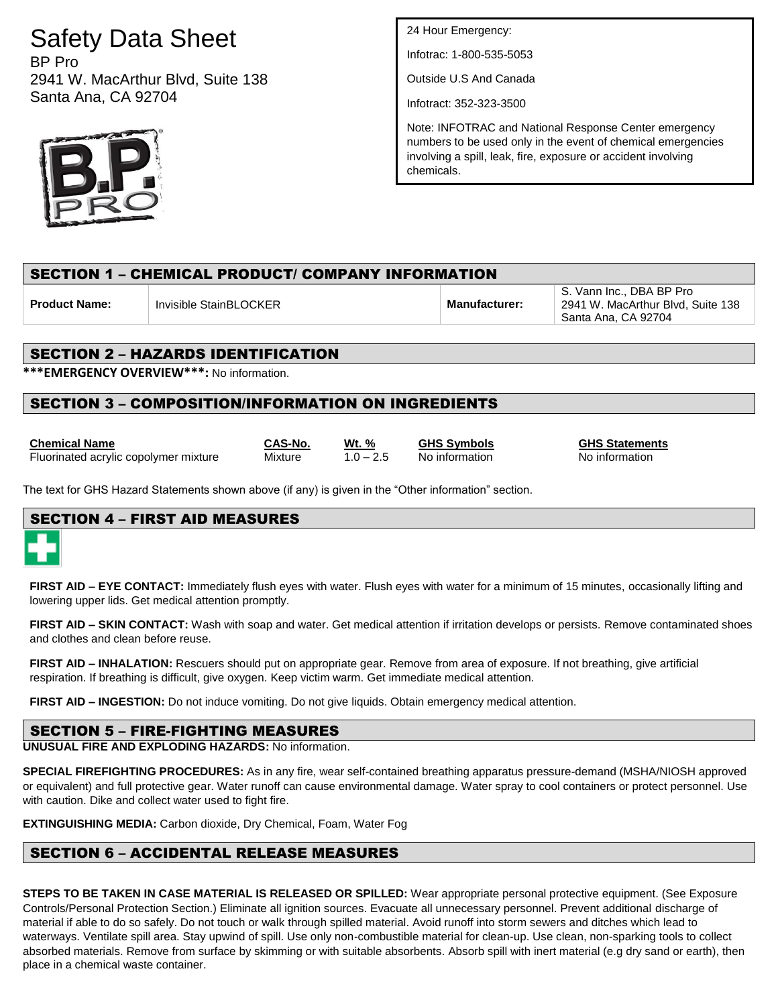# Safety Data Sheet

BP Pro 2941 W. MacArthur Blvd, Suite 138 Santa Ana, CA 92704



24 Hour Emergency:

Infotrac: 1-800-535-5053

Outside U.S And Canada

Infotract: 352-323-3500

Note: INFOTRAC and National Response Center emergency numbers to be used only in the event of chemical emergencies involving a spill, leak, fire, exposure or accident involving chemicals.

# SECTION 1 – CHEMICAL PRODUCT/ COMPANY INFORMATION

**Product Name:** Invisible StainBLOCKER **Manufacturer:** 

S. Vann Inc., DBA BP Pro 2941 W. MacArthur Blvd, Suite 138 Santa Ana, CA 92704

# SECTION 2 – HAZARDS IDENTIFICATION

**\*\*\*EMERGENCY OVERVIEW\*\*\*:** No information.

# SECTION 3 – COMPOSITION/INFORMATION ON INGREDIENTS

| <b>Chemical Name</b>                  | CAS-No. | Wt. % | <b>GHS Symbols</b> | <b>GHS Statemer</b> |
|---------------------------------------|---------|-------|--------------------|---------------------|
| Fluorinated acrylic copolymer mixture | Mixture |       | No information     | No information      |

**CAS-No. Wt. % GHS Symbols GHS Statements**<br>
Mixture 1.0 - 2.5 No information **CHS Statements** 

The text for GHS Hazard Statements shown above (if any) is given in the "Other information" section.

# SECTION 4 – FIRST AID MEASURES

**FIRST AID – EYE CONTACT:** Immediately flush eyes with water. Flush eyes with water for a minimum of 15 minutes, occasionally lifting and lowering upper lids. Get medical attention promptly.

**FIRST AID – SKIN CONTACT:** Wash with soap and water. Get medical attention if irritation develops or persists. Remove contaminated shoes and clothes and clean before reuse.

**FIRST AID – INHALATION:** Rescuers should put on appropriate gear. Remove from area of exposure. If not breathing, give artificial respiration. If breathing is difficult, give oxygen. Keep victim warm. Get immediate medical attention.

**FIRST AID – INGESTION:** Do not induce vomiting. Do not give liquids. Obtain emergency medical attention.

# SECTION 5 – FIRE-FIGHTING MEASURES

**UNUSUAL FIRE AND EXPLODING HAZARDS:** No information.

**SPECIAL FIREFIGHTING PROCEDURES:** As in any fire, wear self-contained breathing apparatus pressure-demand (MSHA/NIOSH approved or equivalent) and full protective gear. Water runoff can cause environmental damage. Water spray to cool containers or protect personnel. Use with caution. Dike and collect water used to fight fire.

**EXTINGUISHING MEDIA:** Carbon dioxide, Dry Chemical, Foam, Water Fog

# SECTION 6 – ACCIDENTAL RELEASE MEASURES

**STEPS TO BE TAKEN IN CASE MATERIAL IS RELEASED OR SPILLED:** Wear appropriate personal protective equipment. (See Exposure Controls/Personal Protection Section.) Eliminate all ignition sources. Evacuate all unnecessary personnel. Prevent additional discharge of material if able to do so safely. Do not touch or walk through spilled material. Avoid runoff into storm sewers and ditches which lead to waterways. Ventilate spill area. Stay upwind of spill. Use only non-combustible material for clean-up. Use clean, non-sparking tools to collect absorbed materials. Remove from surface by skimming or with suitable absorbents. Absorb spill with inert material (e.g dry sand or earth), then place in a chemical waste container.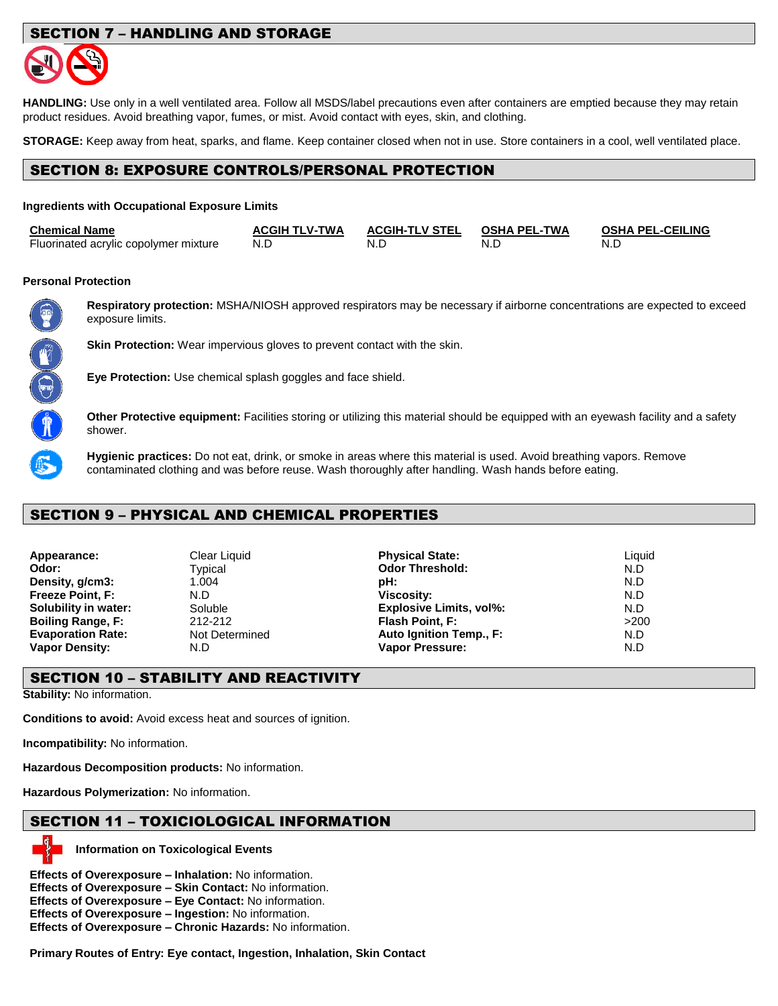# SECTION 7 – HANDLING AND STORAGE



**HANDLING:** Use only in a well ventilated area. Follow all MSDS/label precautions even after containers are emptied because they may retain product residues. Avoid breathing vapor, fumes, or mist. Avoid contact with eyes, skin, and clothing.

**STORAGE:** Keep away from heat, sparks, and flame. Keep container closed when not in use. Store containers in a cool, well ventilated place.

# SECTION 8: EXPOSURE CONTROLS/PERSONAL PROTECTION

#### **Ingredients with Occupational Exposure Limits**

| <b>Chemical Name</b>                  | <b>ACGIH TLV-TWA</b> | <b>ACGIH-TLV STEL</b> | OSHA PEL-TWA | <b>OSHA PEL-CEILING</b> |
|---------------------------------------|----------------------|-----------------------|--------------|-------------------------|
| Fluorinated acrylic copolymer mixture | N.D                  | N.D                   | N.L          | N.D                     |

#### **Personal Protection**



**Respiratory protection:** MSHA/NIOSH approved respirators may be necessary if airborne concentrations are expected to exceed exposure limits.

**Skin Protection:** Wear impervious gloves to prevent contact with the skin.

**Eye Protection:** Use chemical splash goggles and face shield.

**Other Protective equipment:** Facilities storing or utilizing this material should be equipped with an eyewash facility and a safety shower.

**Hygienic practices:** Do not eat, drink, or smoke in areas where this material is used. Avoid breathing vapors. Remove contaminated clothing and was before reuse. Wash thoroughly after handling. Wash hands before eating.

#### SECTION 9 – PHYSICAL AND CHEMICAL PROPERTIES

| Appearance:              |
|--------------------------|
| Odor:                    |
| Density, g/cm3:          |
| Freeze Point, F:         |
| Solubility in water:     |
| <b>Boiling Range, F:</b> |
| <b>Evaporation Rate:</b> |
| <b>Vapor Density:</b>    |

| Appearance:              | Clear Liquid   | <b>Physical State:</b>         | Liauid |
|--------------------------|----------------|--------------------------------|--------|
| Odor:                    | Typical        | <b>Odor Threshold:</b>         | N.D    |
| Density, g/cm3:          | 1.004          | pH:                            | N.D    |
| Freeze Point, F:         | N.D            | <b>Viscosity:</b>              | N.D    |
| Solubility in water:     | Soluble        | <b>Explosive Limits, vol%:</b> | N.D    |
| <b>Boiling Range, F:</b> | 212-212        | Flash Point, F:                | >200   |
| <b>Evaporation Rate:</b> | Not Determined | Auto Ignition Temp., F:        | N.D    |
| Vapor Density:           | N.D            | <b>Vapor Pressure:</b>         | N.D    |
|                          |                |                                |        |

### SECTION 10 – STABILITY AND REACTIVITY

**Stability:** No information.

**Conditions to avoid:** Avoid excess heat and sources of ignition.

**Incompatibility:** No information.

**Hazardous Decomposition products:** No information.

**Hazardous Polymerization:** No information.

# SECTION 11 – TOXICIOLOGICAL INFORMATION



**Information on Toxicological Events**

**Effects of Overexposure – Inhalation:** No information.

**Effects of Overexposure – Skin Contact:** No information.

**Effects of Overexposure – Eye Contact:** No information.

**Effects of Overexposure – Ingestion:** No information.

**Effects of Overexposure – Chronic Hazards:** No information.

**Primary Routes of Entry: Eye contact, Ingestion, Inhalation, Skin Contact**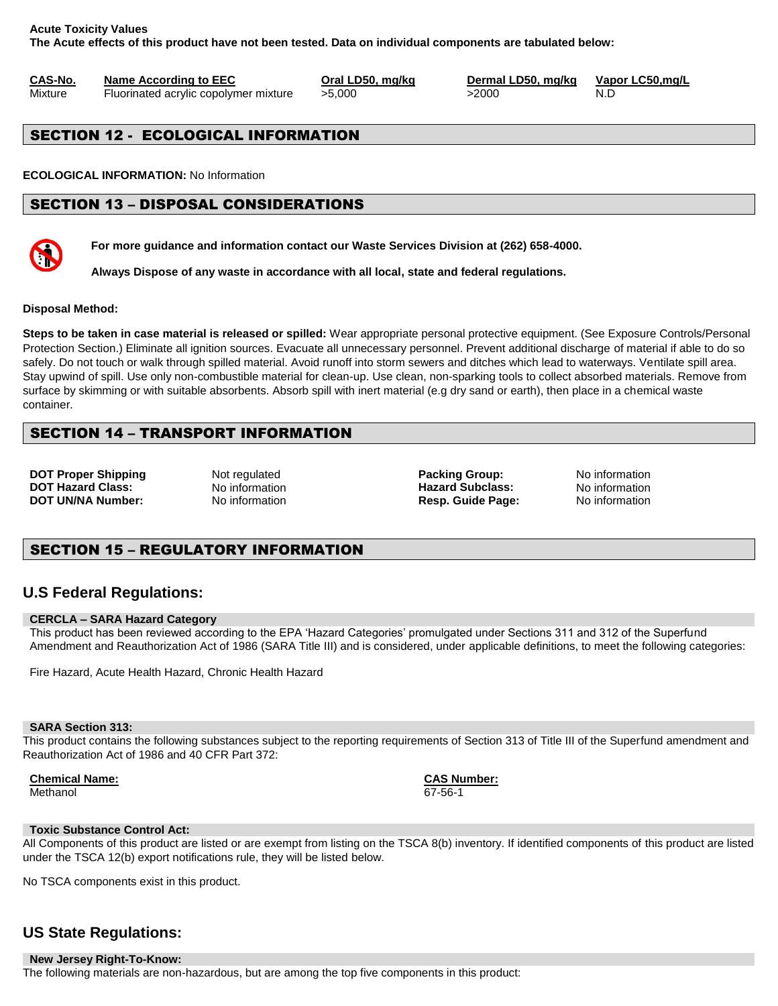#### **Acute Toxicity Values The Acute effects of this product have not been tested. Data on individual components are tabulated below:**

**CAS-No. Name According to EEC Oral LD50, mg/kg Dermal LD50, mg/kg Vapor LC50,mg/L**

Mixture Fluorinated acrylic copolymer mixture  $>5,000$   $>2000$  N.D

# SECTION 12 - ECOLOGICAL INFORMATION

**ECOLOGICAL INFORMATION:** No Information

# SECTION 13 – DISPOSAL CONSIDERATIONS



**For more guidance and information contact our Waste Services Division at (262) 658-4000.**

**Always Dispose of any waste in accordance with all local, state and federal regulations.** 

#### **Disposal Method:**

**Steps to be taken in case material is released or spilled:** Wear appropriate personal protective equipment. (See Exposure Controls/Personal Protection Section.) Eliminate all ignition sources. Evacuate all unnecessary personnel. Prevent additional discharge of material if able to do so safely. Do not touch or walk through spilled material. Avoid runoff into storm sewers and ditches which lead to waterways. Ventilate spill area. Stay upwind of spill. Use only non-combustible material for clean-up. Use clean, non-sparking tools to collect absorbed materials. Remove from surface by skimming or with suitable absorbents. Absorb spill with inert material (e.g dry sand or earth), then place in a chemical waste container.

# SECTION 14 – TRANSPORT INFORMATION

**DOT Proper Shipping** Not regulated **Packing Group:** No information **DOT Hazard Class:** No information **Hazard Subclass:** No information **DOT UN/NA Number:** No information **Resp. Guide Page:** No information

# SECTION 15 – REGULATORY INFORMATION

# **U.S Federal Regulations:**

#### **CERCLA – SARA Hazard Category**

This product has been reviewed according to the EPA 'Hazard Categories' promulgated under Sections 311 and 312 of the Superfund Amendment and Reauthorization Act of 1986 (SARA Title III) and is considered, under applicable definitions, to meet the following categories:

Fire Hazard, Acute Health Hazard, Chronic Health Hazard

#### **SARA Section 313:**

This product contains the following substances subject to the reporting requirements of Section 313 of Title III of the Superfund amendment and Reauthorization Act of 1986 and 40 CFR Part 372:

**Chemical Name: CAS Number:** Methanol 67-56-1

#### **Toxic Substance Control Act:**

All Components of this product are listed or are exempt from listing on the TSCA 8(b) inventory. If identified components of this product are listed under the TSCA 12(b) export notifications rule, they will be listed below.

No TSCA components exist in this product.

# **US State Regulations:**

**New Jersey Right-To-Know:** The following materials are non-hazardous, but are among the top five components in this product: